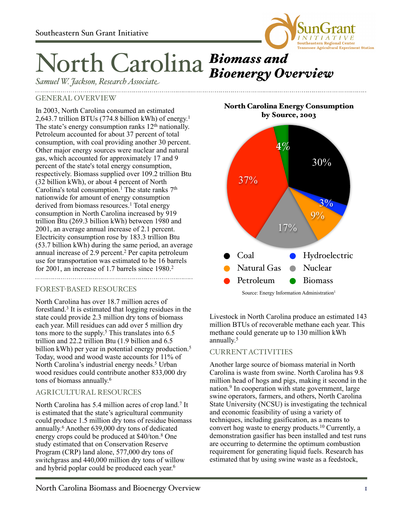

# North Carolina *Biomass and Bioenergy Overview*

*SamuelW. Jackson, ResearchAssociate*

# GENERAL OVERVIEW

In 2003, North Carolina consumed an estimated 2,643.7 trillion BTUs (774.8 billion kWh) of energy. 1 The state's energy consumption ranks  $12<sup>th</sup>$  nationally. Petroleum accounted for about 37 percent of total consumption, with coal providing another 30 percent. Other major energy sources were nuclear and natural gas, which accounted for approximately 17 and 9 percent of the state's total energy consumption, respectively. Biomass supplied over 109.2 trillion Btu (32 billion kWh), or about 4 percent of North Carolina's total consumption.<sup>1</sup> The state ranks  $7<sup>th</sup>$ nationwide for amount of energy consumption derived from biomass resources.<sup>1</sup> Total energy consumption in North Carolina increased by 919 trillion Btu (269.3 billion kWh) between 1980 and 2001, an average annual increase of 2.1 percent. Electricity consumption rose by 183.3 trillion Btu (53.7 billion kWh) during the same period, an average annual increase of 2.9 percent.2 Per capita petroleum use for transportation was estimated to be 16 barrels for 2001, an increase of 1.7 barrels since 1980.2

## FOREST-BASED RESOURCES

North Carolina has over 18.7 million acres of forestland.3 It is estimated that logging residues in the state could provide 2.3 million dry tons of biomass each year. Mill residues can add over 5 million dry tons more to the supply. <sup>5</sup> This translates into 6.5 trillion and 22.2 trillion Btu (1.9 billion and 6.5 billion kWh) per year in potential energy production.<sup>5</sup> Today, wood and wood waste accounts for 11% of North Carolina's industrial energy needs.<sup>5</sup> Urban wood residues could contribute another 833,000 dry tons of biomass annually. 6

# AGRICULTURAL RESOURCES

North Carolina has 5.4 million acres of crop land.7 It is estimated that the state's agricultural community could produce 1.5 million dry tons of residue biomass annually. <sup>6</sup> Another 639,000 dry tons of dedicated energy crops could be produced at \$40/ton.8 One study estimated that on Conservation Reserve Program (CRP) land alone, 577,000 dry tons of switchgrass and 440,000 million dry tons of willow and hybrid poplar could be produced each year. 6

North Carolina Energy Consumption by Source, 2003



Livestock in North Carolina produce an estimated 143 million BTUs of recoverable methane each year. This methane could generate up to 130 million kWh annually. 5

## CURRENT ACTIVITIES

Another large source of biomass material in North Carolina is waste from swine. North Carolina has 9.8 million head of hogs and pigs, making it second in the nation.9 In cooperation with state government, large swine operators, farmers, and others, North Carolina State University (NCSU) is investigating the technical and economic feasibility of using a variety of techniques, including gasification, as a means to convert hog waste to energy products.10 Currently, a demonstration gasifier has been installed and test runs are occurring to determine the optimum combustion requirement for generating liquid fuels. Research has estimated that by using swine waste as a feedstock,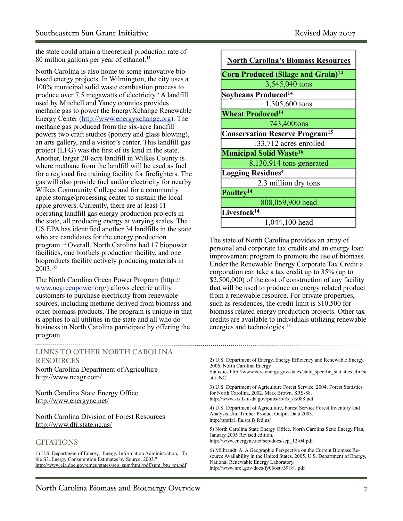the state could attain a theoretical production rate of 80 million gallons per year of ethanol.<sup>11</sup>

North Carolina is also home to some innovative biobased energy projects. In Wilmington, the city uses a 100% municipal solid waste combustion process to produce over 7.5 megawatts of electricity. 5 A landfill used by Mitchell and Yancy counties provides methane gas to power the EnergyXchange Renewable Energy Center [\(http://www.energyxchange.org\)](http://www.energyxchange.org). The methane gas produced from the six-acre landfill powers two craft studios (pottery and glass blowing), an arts gallery, and a visitor's center. This landfill gas project (LFG) was the first of its kind in the state. Another, larger 20-acre landfill in Wilkes County is where methane from the landfill will be used as fuel for a regional fire training facility for firefighters. The gas will also provide fuel and/or electricity for nearby Wilkes Community College and for a community apple storage/processing center to sustain the local apple growers.Currently, there are at least 11 operating landfill gas energy production projects in the state, all producing energy at varying scales. The US EPA has identified another 34 landfills in the state who are candidates for the energy production program.12 Overall, North Carolina had 17 biopower facilities, one biofuels production facility, and one bioproducts facility actively producing materials in  $2003^{10}$ 

The North Carolina Green Power Program ([http://](http://www.ncgreenpower.org) [www.ncgreenpower.org/](http://www.ncgreenpower.org)) allows electric utility customers to purchase electricity from renewable sources, including methane derived from biomass and other biomass products. The program is unique in that is applies to all utilities in the state and all who do business in North Carolina participate by offering the program.

LINKS TO OTHER NORTH CAROLINA RESOURCES North Carolina Department of Agriculture <http://www.ncagr.com/>

North Carolina State Energy Office <http://www.energync.net/>

North Carolina Division of Forest Resources <http://www.dfr.state.nc.us/>

#### **CITATIONS**

1) U.S. Department of Energy, Energy Information Administration, "Table S3. Energy Consumption Estimates by Source, 2003." [http://www.eia.doe.gov/emeu/states/sep\\_sum/html/pdf/sum\\_btu\\_tot.pdf](http://www.eia.doe.gov/emeu/states/sep_sum/html/pdf/sum_btu_tot.pdf)

| <b>North Carolina's Biomass Resources</b>            |
|------------------------------------------------------|
| <b>Corn Produced (Silage and Grain)<sup>14</sup></b> |
| 3,545,040 tons                                       |
| Soybeans Produced <sup>14</sup>                      |
| 1,305,600 tons                                       |
| <b>Wheat Produced<sup>14</sup></b>                   |
| 743,400tons                                          |
| <b>Conservation Reserve Program<sup>15</sup></b>     |
| 133,712 acres enrolled                               |
| <b>Municipal Solid Waste<sup>16</sup></b>            |
| 8,130,914 tons generated                             |
| <b>Logging Residues<sup>4</sup></b>                  |
| 2.3 million dry tons                                 |
| Poultry <sup>14</sup>                                |
| 808,059,900 head                                     |
| Livestock <sup>14</sup>                              |
| 1,044,100 head                                       |

The state of North Carolina provides an array of personal and corporate tax credits and an energy loan improvement program to promote the use of biomass. Under the Renewable Energy Corporate Tax Credit a corporation can take a tax credit up to 35% (up to \$2,500,000) of the cost of construction of any facility that will be used to produce an energy related product from a renewable resource. For private properties, such as residences, the credit limit is \$10,500 for biomass related energy production projects. Other tax credits are available to individuals utilizing renewable energies and technologies.<sup>13</sup>

2) U.S. Department of Energy, Energy Efficiency and Renewable Energy. 2006. North Carolina Energy

Statistics[.http://www.eere.energy.gov/states/state\\_specific\\_statistics.cfm/st](http://www.eere.energy.gov/states/state_specific_statistics.cfm/state=NC) [ate=NC](http://www.eere.energy.gov/states/state_specific_statistics.cfm/state=NC)

3) U.S. Department of Agriculture Forest Service. 2004. Forest Statistics for North Carolina, 2002. Mark Brown. SRS-88. [http://www.srs.fs.usda.gov/pubs/rb/rb\\_srs088.pdf](http://www.srs.fs.usda.gov/pubs/rb/rb_srs088.pdf)

4) U.S. Department of Agriculture, Forest Service Forest Inventory and Analysis Unit Timber Product Output Data 2003. <http://srsfia1.fia.srs.fs.fed.us/>

5) North Carolina State Energy Office. North Carolina State Energy Plan, January 2005 Revised edition. [http://www.energync.net/sep/docs/sep\\_12-04.pdf](http://www.energync.net/sep/docs/sep_12-04.pdf)

6) Milbrandt, A. A Geographic Perspective on the Current Biomass Resource Availability in the United States. 2005. U.S. Department of Energy, National Renewable Energy Laboratory. <http://www.nrel.gov/docs/fy06osti/39181.pdf>